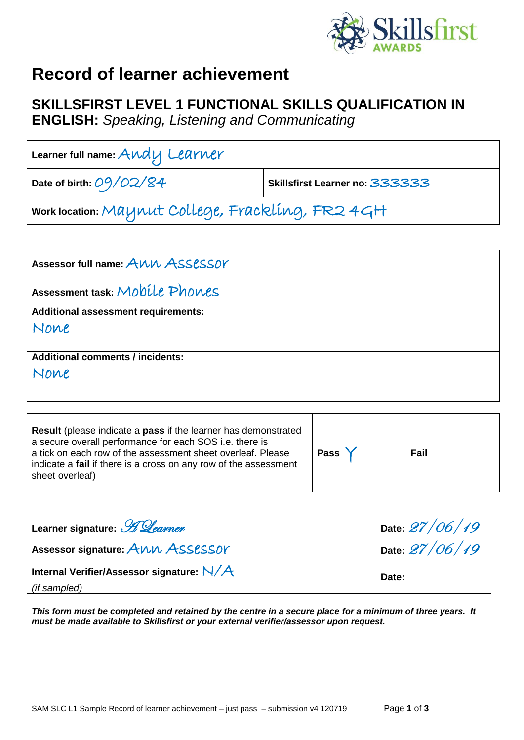

## **Record of learner achievement**

## **SKILLSFIRST LEVEL 1 FUNCTIONAL SKILLS QUALIFICATION IN**

**ENGLISH:** *Speaking, Listening and Communicating*

| Learner full name: $\mathcal{A}\mathcal{\mu}\mathcal{A}\mathcal{\mu}$ Lear $\mathcal{\mu}$ er |                                |  |  |
|-----------------------------------------------------------------------------------------------|--------------------------------|--|--|
| Date of birth: $O9/O2/S4$                                                                     | Skillsfirst Learner no: 333333 |  |  |
| work location: Maynut College, Frackling, FR2 4GH                                             |                                |  |  |

| Assessor full name: ANN ASSESSOY           |
|--------------------------------------------|
| Assessment task: Mobile Phones             |
| <b>Additional assessment requirements:</b> |
| None                                       |
|                                            |
| <b>Additional comments / incidents:</b>    |
| None                                       |
|                                            |

| <b>Result</b> (please indicate a <b>pass</b> if the learner has demonstrated<br>a secure overall performance for each SOS i.e. there is<br>a tick on each row of the assessment sheet overleaf. Please<br>indicate a fail if there is a cross on any row of the assessment<br>sheet overleaf) | <b>Pass</b> | Fail |
|-----------------------------------------------------------------------------------------------------------------------------------------------------------------------------------------------------------------------------------------------------------------------------------------------|-------------|------|
|-----------------------------------------------------------------------------------------------------------------------------------------------------------------------------------------------------------------------------------------------------------------------------------------------|-------------|------|

| Learner signature: <i>H Learner</i>       | Date: $27/06/19$ |  |
|-------------------------------------------|------------------|--|
| Assessor signature: ANN ASSESSOY          | Date $27/06/19$  |  |
| Internal Verifier/Assessor signature: N/A | Date:            |  |
| (if sampled)                              |                  |  |

*This form must be completed and retained by the centre in a secure place for a minimum of three years. It must be made available to Skillsfirst or your external verifier/assessor upon request.*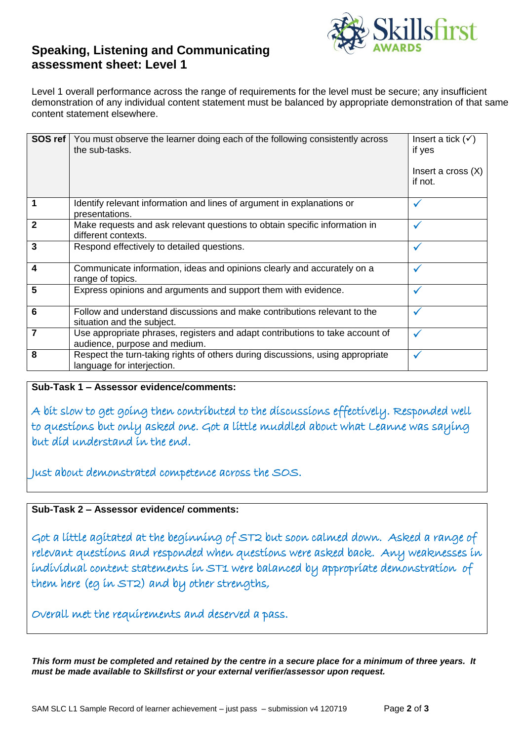

## **Speaking, Listening and Communicating assessment sheet: Level 1**

Level 1 overall performance across the range of requirements for the level must be secure; any insufficient demonstration of any individual content statement must be balanced by appropriate demonstration of that same content statement elsewhere.

| SOS ref      | You must observe the learner doing each of the following consistently across<br>the sub-tasks.                 | Insert a tick $(\checkmark)$<br>if yes<br>Insert a cross $(X)$<br>if not. |
|--------------|----------------------------------------------------------------------------------------------------------------|---------------------------------------------------------------------------|
| 1            | Identify relevant information and lines of argument in explanations or<br>presentations.                       | ✓                                                                         |
| $\mathbf{2}$ | Make requests and ask relevant questions to obtain specific information in<br>different contexts.              | ✓                                                                         |
| 3            | Respond effectively to detailed questions.                                                                     | $\checkmark$                                                              |
| 4            | Communicate information, ideas and opinions clearly and accurately on a<br>range of topics.                    | ✓                                                                         |
| 5            | Express opinions and arguments and support them with evidence.                                                 | ✓                                                                         |
| 6            | Follow and understand discussions and make contributions relevant to the<br>situation and the subject.         | $\checkmark$                                                              |
| 7            | Use appropriate phrases, registers and adapt contributions to take account of<br>audience, purpose and medium. |                                                                           |
| 8            | Respect the turn-taking rights of others during discussions, using appropriate<br>language for interjection.   |                                                                           |

**Sub-Task 1 – Assessor evidence/comments:**

A bit slow to get going then contributed to the discussions effectively. Responded well to questions but only asked one. Got a little muddled about what Leanne was saying but did understand in the end.

Just about demonstrated competence across the SOS.

**Sub-Task 2 – Assessor evidence/ comments:**

Got a little agitated at the beginning of ST2 but soon calmed down. Asked a range of relevant questions and responded when questions were asked back. Any weaknesses in individual content statements in ST1 were balanced by appropriate demonstration of them here (eg in ST2) and by other strengths,

Overall met the requirements and deserved a pass.

*This form must be completed and retained by the centre in a secure place for a minimum of three years. It must be made available to Skillsfirst or your external verifier/assessor upon request.*